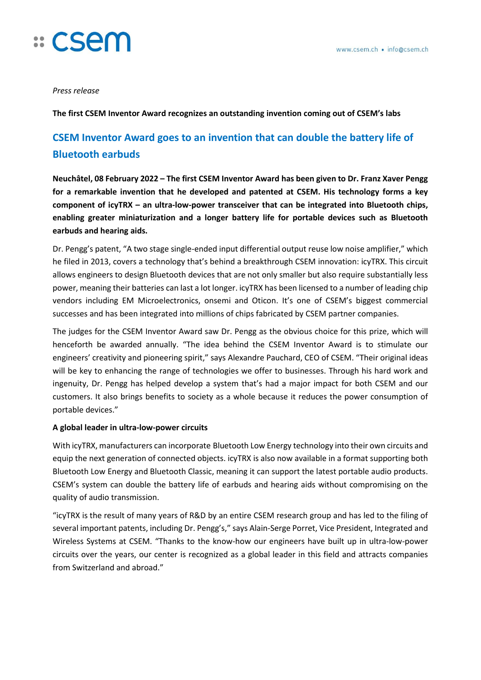

*Press release*

**The first CSEM Inventor Award recognizes an outstanding invention coming out of CSEM's labs**

## **CSEM Inventor Award goes to an invention that can double the battery life of Bluetooth earbuds**

**Neuchâtel, 08 February 2022 – The first CSEM Inventor Award has been given to Dr. Franz Xaver Pengg for a remarkable invention that he developed and patented at CSEM. His technology forms a key component of icyTRX – an ultra-low-power transceiver that can be integrated into Bluetooth chips, enabling greater miniaturization and a longer battery life for portable devices such as Bluetooth earbuds and hearing aids.** 

Dr. Pengg's patent, "A two stage single-ended input differential output reuse low noise amplifier," which he filed in 2013, covers a technology that's behind a breakthrough CSEM innovation: icyTRX. This circuit allows engineers to design Bluetooth devices that are not only smaller but also require substantially less power, meaning their batteries can last a lot longer. icyTRX has been licensed to a number of leading chip vendors including EM Microelectronics, onsemi and Oticon. It's one of CSEM's biggest commercial successes and has been integrated into millions of chips fabricated by CSEM partner companies.

The judges for the CSEM Inventor Award saw Dr. Pengg as the obvious choice for this prize, which will henceforth be awarded annually. "The idea behind the CSEM Inventor Award is to stimulate our engineers' creativity and pioneering spirit," says Alexandre Pauchard, CEO of CSEM. "Their original ideas will be key to enhancing the range of technologies we offer to businesses. Through his hard work and ingenuity, Dr. Pengg has helped develop a system that's had a major impact for both CSEM and our customers. It also brings benefits to society as a whole because it reduces the power consumption of portable devices."

### **A global leader in ultra-low-power circuits**

With icyTRX, manufacturers can incorporate Bluetooth Low Energy technology into their own circuits and equip the next generation of connected objects. icyTRX is also now available in a format supporting both Bluetooth Low Energy and Bluetooth Classic, meaning it can support the latest portable audio products. CSEM's system can double the battery life of earbuds and hearing aids without compromising on the quality of audio transmission.

"icyTRX is the result of many years of R&D by an entire CSEM research group and has led to the filing of several important patents, including Dr. Pengg's," says Alain-Serge Porret, Vice President, Integrated and Wireless Systems at CSEM. "Thanks to the know-how our engineers have built up in ultra-low-power circuits over the years, our center is recognized as a global leader in this field and attracts companies from Switzerland and abroad."